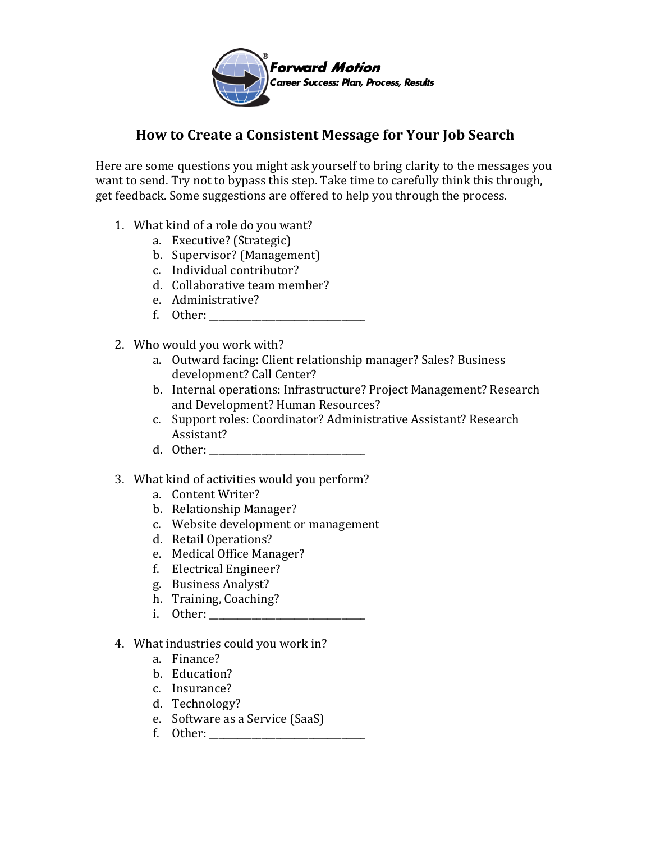

## **How to Create a Consistent Message for Your Job Search**

Here are some questions you might ask yourself to bring clarity to the messages you want to send. Try not to bypass this step. Take time to carefully think this through, get feedback. Some suggestions are offered to help you through the process.

- 1. What kind of a role do you want?
	- a. Executive? (Strategic)
	- b. Supervisor? (Management)
	- c. Individual contributor?
	- d. Collaborative team member?
	- e. Administrative?
	- f. Other: \_\_\_\_\_\_\_\_\_\_\_\_\_\_\_\_\_\_\_\_\_\_\_\_\_\_\_\_\_\_\_\_\_
- 2. Who would you work with?
	- a. Outward facing: Client relationship manager? Sales? Business development? Call Center?
	- b. Internal operations: Infrastructure? Project Management? Research and Development? Human Resources?
	- c. Support roles: Coordinator? Administrative Assistant? Research Assistant?
	- d. Other: \_\_\_\_\_\_\_\_\_\_\_\_\_\_\_\_\_\_\_\_\_\_\_\_\_\_\_\_\_\_\_\_\_

## 3. What kind of activities would you perform?

- a. Content Writer?
- b. Relationship Manager?
- c. Website development or management
- d. Retail Operations?
- e. Medical Office Manager?
- f. Electrical Engineer?
- g. Business Analyst?
- h. Training, Coaching?
- i. Other:
- 4. What industries could you work in?
	- a. Finance?
	- b. Education?
	- c. Insurance?
	- d. Technology?
	- e. Software as a Service (SaaS)
	- f. Other: \_\_\_\_\_\_\_\_\_\_\_\_\_\_\_\_\_\_\_\_\_\_\_\_\_\_\_\_\_\_\_\_\_